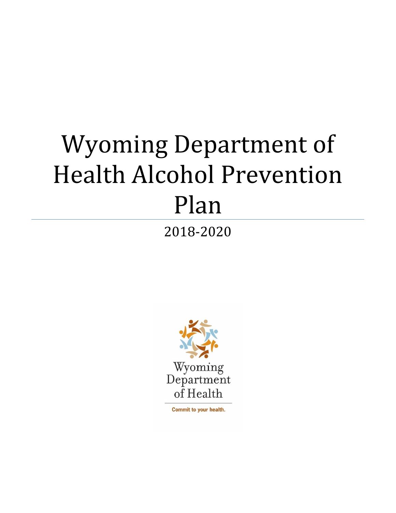# Wyoming Department of **Health Alcohol Prevention** Plan

2018‐2020 



Commit to your health.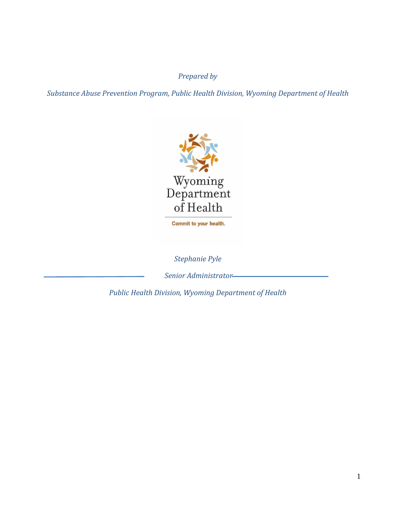## *Prepared by*

*Substance Abuse Prevention Program, Public Health Division, Wyoming Department of Health*



Commit to your health.

*Stephanie Pyle*

*Senior Administrator*

*Public Health Division, Wyoming Department of Health*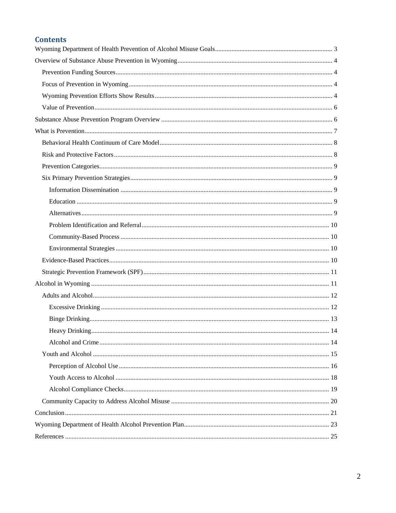#### **Contents**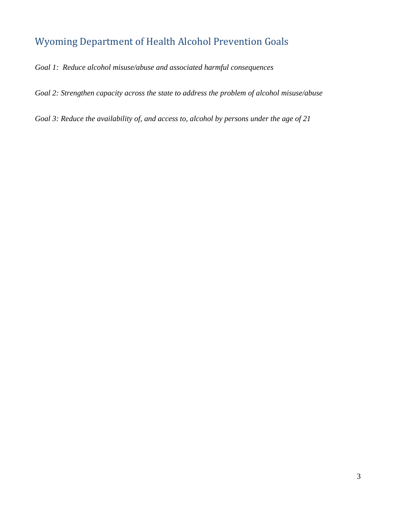# Wyoming Department of Health Alcohol Prevention Goals

*Goal 1: Reduce alcohol misuse/abuse and associated harmful consequences* 

*Goal 2: Strengthen capacity across the state to address the problem of alcohol misuse/abuse* 

*Goal 3: Reduce the availability of, and access to, alcohol by persons under the age of 21*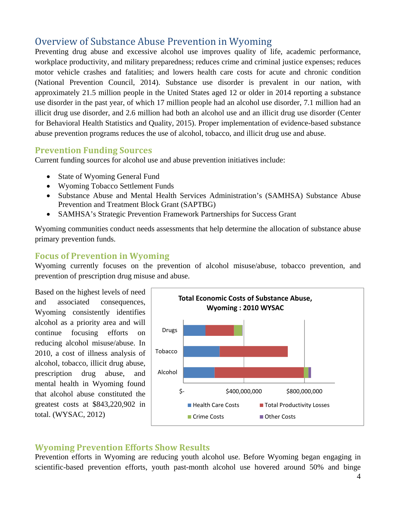# Overview of Substance Abuse Prevention in Wyoming

Preventing drug abuse and excessive alcohol use improves quality of life, academic performance, workplace productivity, and military preparedness; reduces crime and criminal justice expenses; reduces motor vehicle crashes and fatalities; and lowers health care costs for acute and chronic condition (National Prevention Council, 2014). Substance use disorder is prevalent in our nation, with approximately 21.5 million people in the United States aged 12 or older in 2014 reporting a substance use disorder in the past year, of which 17 million people had an alcohol use disorder, 7.1 million had an illicit drug use disorder, and 2.6 million had both an alcohol use and an illicit drug use disorder (Center for Behavioral Health Statistics and Quality, 2015). Proper implementation of evidence-based substance abuse prevention programs reduces the use of alcohol, tobacco, and illicit drug use and abuse.

#### **Prevention Funding Sources**

Current funding sources for alcohol use and abuse prevention initiatives include:

- State of Wyoming General Fund
- Wyoming Tobacco Settlement Funds
- Substance Abuse and Mental Health Services Administration's (SAMHSA) Substance Abuse Prevention and Treatment Block Grant (SAPTBG)
- SAMHSA's Strategic Prevention Framework Partnerships for Success Grant

Wyoming communities conduct needs assessments that help determine the allocation of substance abuse primary prevention funds.

#### **Focus of Prevention in Wyoming**

Wyoming currently focuses on the prevention of alcohol misuse/abuse, tobacco prevention, and prevention of prescription drug misuse and abuse.

Based on the highest levels of need and associated consequences, Wyoming consistently identifies alcohol as a priority area and will continue focusing efforts on reducing alcohol misuse/abuse. In 2010, a cost of illness analysis of alcohol, tobacco, illicit drug abuse, prescription drug abuse, and mental health in Wyoming found that alcohol abuse constituted the greatest costs at \$843,220,902 in total. (WYSAC, 2012)



#### **Wyoming Prevention Efforts Show Results**

Prevention efforts in Wyoming are reducing youth alcohol use. Before Wyoming began engaging in scientific-based prevention efforts, youth past-month alcohol use hovered around 50% and binge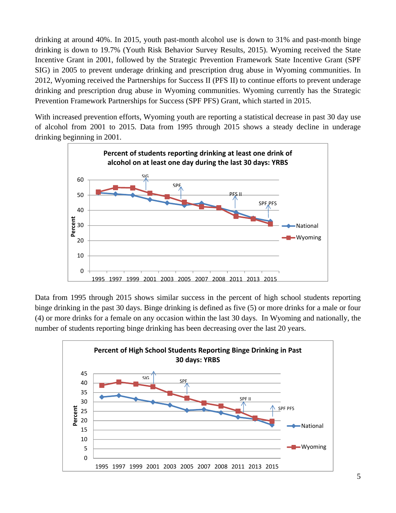drinking at around 40%. In 2015, youth past-month alcohol use is down to 31% and past-month binge drinking is down to 19.7% (Youth Risk Behavior Survey Results, 2015). Wyoming received the State Incentive Grant in 2001, followed by the Strategic Prevention Framework State Incentive Grant (SPF SIG) in 2005 to prevent underage drinking and prescription drug abuse in Wyoming communities. In 2012, Wyoming received the Partnerships for Success II (PFS II) to continue efforts to prevent underage drinking and prescription drug abuse in Wyoming communities. Wyoming currently has the Strategic Prevention Framework Partnerships for Success (SPF PFS) Grant, which started in 2015.

With increased prevention efforts, Wyoming youth are reporting a statistical decrease in past 30 day use of alcohol from 2001 to 2015. Data from 1995 through 2015 shows a steady decline in underage drinking beginning in 2001.



Data from 1995 through 2015 shows similar success in the percent of high school students reporting binge drinking in the past 30 days. Binge drinking is defined as five (5) or more drinks for a male or four (4) or more drinks for a female on any occasion within the last 30 days. In Wyoming and nationally, the number of students reporting binge drinking has been decreasing over the last 20 years.

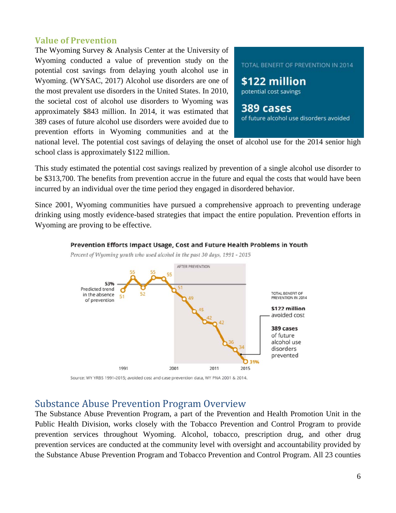#### **Value of Prevention**

The Wyoming Survey & Analysis Center at the University of Wyoming conducted a value of prevention study on the potential cost savings from delaying youth alcohol use in Wyoming. (WYSAC, 2017) Alcohol use disorders are one of the most prevalent use disorders in the United States. In 2010, the societal cost of alcohol use disorders to Wyoming was approximately \$843 million. In 2014, it was estimated that 389 cases of future alcohol use disorders were avoided due to prevention efforts in Wyoming communities and at the



\$122 million potential cost savings

389 cases of future alcohol use disorders avoided

national level. The potential cost savings of delaying the onset of alcohol use for the 2014 senior high school class is approximately \$122 million.

This study estimated the potential cost savings realized by prevention of a single alcohol use disorder to be \$313,700. The benefits from prevention accrue in the future and equal the costs that would have been incurred by an individual over the time period they engaged in disordered behavior.

Since 2001, Wyoming communities have pursued a comprehensive approach to preventing underage drinking using mostly evidence-based strategies that impact the entire population. Prevention efforts in Wyoming are proving to be effective.



#### Prevention Efforts Impact Usage, Cost and Future Health Problems in Youth

Percent of Wyoming youth who used alcohol in the past 30 days, 1991 - 2015

Source: WY YRBS 1991-2015; avoided cost and case prevention data, WY PNA 2001 & 2014.

## Substance Abuse Prevention Program Overview

The Substance Abuse Prevention Program, a part of the Prevention and Health Promotion Unit in the Public Health Division, works closely with the Tobacco Prevention and Control Program to provide prevention services throughout Wyoming. Alcohol, tobacco, prescription drug, and other drug prevention services are conducted at the community level with oversight and accountability provided by the Substance Abuse Prevention Program and Tobacco Prevention and Control Program. All 23 counties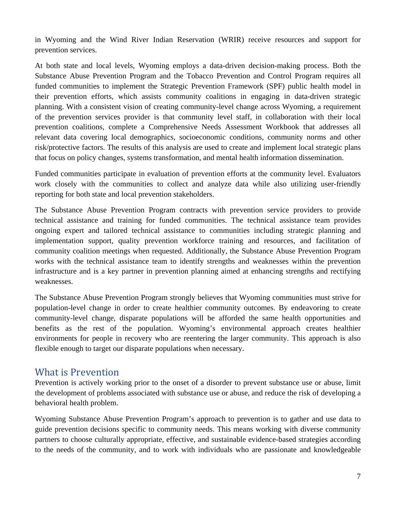in Wyoming and the Wind River Indian Reservation (WRIR) receive resources and support for prevention services.

At both state and local levels, Wyoming employs a data-driven decision-making process. Both the Substance Abuse Prevention Program and the Tobacco Prevention and Control Program requires all funded communities to implement the Strategic Prevention Framework (SPF) public health model in their prevention efforts, which assists community coalitions in engaging in data-driven strategic planning. With a consistent vision of creating community-level change across Wyoming, a requirement of the prevention services provider is that community level staff, in collaboration with their local prevention coalitions, complete a Comprehensive Needs Assessment Workbook that addresses all relevant data covering local demographics, socioeconomic conditions, community norms and other risk/protective factors. The results of this analysis are used to create and implement local strategic plans that focus on policy changes, systems transformation, and mental health information dissemination.

Funded communities participate in evaluation of prevention efforts at the community level. Evaluators work closely with the communities to collect and analyze data while also utilizing user-friendly reporting for both state and local prevention stakeholders.

The Substance Abuse Prevention Program contracts with prevention service providers to provide technical assistance and training for funded communities. The technical assistance team provides ongoing expert and tailored technical assistance to communities including strategic planning and implementation support, quality prevention workforce training and resources, and facilitation of community coalition meetings when requested. Additionally, the Substance Abuse Prevention Program works with the technical assistance team to identify strengths and weaknesses within the prevention infrastructure and is a key partner in prevention planning aimed at enhancing strengths and rectifying weaknesses.

The Substance Abuse Prevention Program strongly believes that Wyoming communities must strive for population-level change in order to create healthier community outcomes. By endeavoring to create community-level change, disparate populations will be afforded the same health opportunities and benefits as the rest of the population. Wyoming's environmental approach creates healthier environments for people in recovery who are reentering the larger community. This approach is also flexible enough to target our disparate populations when necessary.

## What is Prevention

Prevention is actively working prior to the onset of a disorder to prevent substance use or abuse, limit the development of problems associated with substance use or abuse, and reduce the risk of developing a behavioral health problem.

Wyoming Substance Abuse Prevention Program's approach to prevention is to gather and use data to guide prevention decisions specific to community needs. This means working with diverse community partners to choose culturally appropriate, effective, and sustainable evidence-based strategies according to the needs of the community, and to work with individuals who are passionate and knowledgeable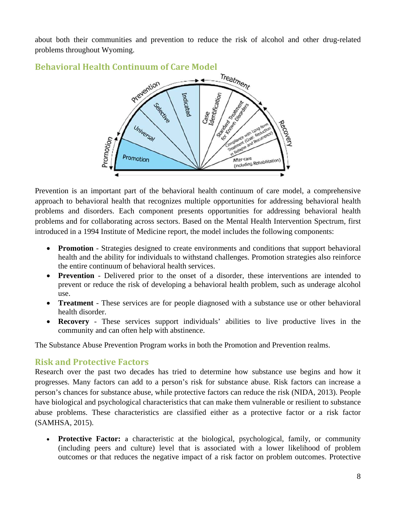about both their communities and prevention to reduce the risk of alcohol and other drug-related problems throughout Wyoming.



**Behavioral Health Continuum of Care Model**

Prevention is an important part of the behavioral health continuum of care model, a comprehensive approach to behavioral health that recognizes multiple opportunities for addressing behavioral health problems and disorders. Each component presents opportunities for addressing behavioral health problems and for collaborating across sectors. Based on the Mental Health Intervention Spectrum, first introduced in a 1994 Institute of Medicine report, the model includes the following components:

- **Promotion** Strategies designed to create environments and conditions that support behavioral health and the ability for individuals to withstand challenges. Promotion strategies also reinforce the entire continuum of behavioral health services.
- **Prevention** Delivered prior to the onset of a disorder, these interventions are intended to prevent or reduce the risk of developing a behavioral health problem, such as underage alcohol use.
- **Treatment** These services are for people diagnosed with a substance use or other behavioral health disorder.
- **Recovery** These services support individuals' abilities to live productive lives in the community and can often help with abstinence.

The Substance Abuse Prevention Program works in both the Promotion and Prevention realms.

#### **Risk and Protective Factors**

Research over the past two decades has tried to determine how substance use begins and how it progresses. Many factors can add to a person's risk for substance abuse. Risk factors can increase a person's chances for substance abuse, while protective factors can reduce the risk (NIDA, 2013). People have biological and psychological characteristics that can make them vulnerable or resilient to substance abuse problems. These characteristics are classified either as a protective factor or a risk factor (SAMHSA, 2015).

• Protective Factor: a characteristic at the biological, psychological, family, or community (including peers and culture) level that is associated with a lower likelihood of problem outcomes or that reduces the negative impact of a risk factor on problem outcomes. Protective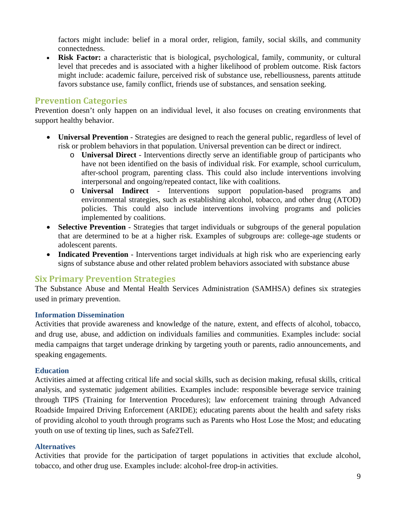factors might include: belief in a moral order, religion, family, social skills, and community connectedness.

 **Risk Factor:** a characteristic that is biological, psychological, family, community, or cultural level that precedes and is associated with a higher likelihood of problem outcome. Risk factors might include: academic failure, perceived risk of substance use, rebelliousness, parents attitude favors substance use, family conflict, friends use of substances, and sensation seeking.

## **Prevention Categories**

Prevention doesn't only happen on an individual level, it also focuses on creating environments that support healthy behavior.

- **Universal Prevention**  Strategies are designed to reach the general public, regardless of level of risk or problem behaviors in that population. Universal prevention can be direct or indirect.
	- o **Universal Direct**  Interventions directly serve an identifiable group of participants who have not been identified on the basis of individual risk. For example, school curriculum, after-school program, parenting class. This could also include interventions involving interpersonal and ongoing/repeated contact, like with coalitions.
	- o **Universal Indirect** Interventions support population-based programs and environmental strategies, such as establishing alcohol, tobacco, and other drug (ATOD) policies. This could also include interventions involving programs and policies implemented by coalitions.
- **Selective Prevention** Strategies that target individuals or subgroups of the general population that are determined to be at a higher risk. Examples of subgroups are: college-age students or adolescent parents.
- Indicated Prevention Interventions target individuals at high risk who are experiencing early signs of substance abuse and other related problem behaviors associated with substance abuse

#### **Six Primary Prevention Strategies**

The Substance Abuse and Mental Health Services Administration (SAMHSA) defines six strategies used in primary prevention.

#### **Information Dissemination**

Activities that provide awareness and knowledge of the nature, extent, and effects of alcohol, tobacco, and drug use, abuse, and addiction on individuals families and communities. Examples include: social media campaigns that target underage drinking by targeting youth or parents, radio announcements, and speaking engagements.

#### **Education**

Activities aimed at affecting critical life and social skills, such as decision making, refusal skills, critical analysis, and systematic judgement abilities. Examples include: responsible beverage service training through TIPS (Training for Intervention Procedures); law enforcement training through Advanced Roadside Impaired Driving Enforcement (ARIDE); educating parents about the health and safety risks of providing alcohol to youth through programs such as Parents who Host Lose the Most; and educating youth on use of texting tip lines, such as Safe2Tell.

#### **Alternatives**

Activities that provide for the participation of target populations in activities that exclude alcohol, tobacco, and other drug use. Examples include: alcohol-free drop-in activities.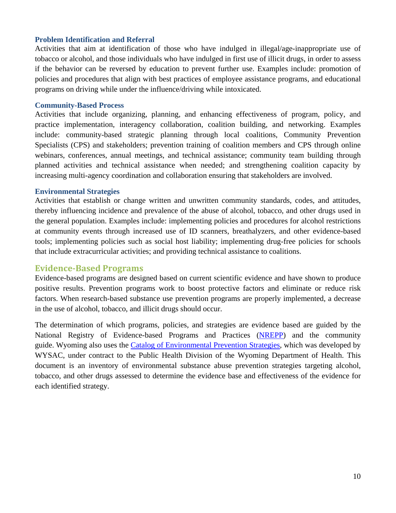#### **Problem Identification and Referral**

Activities that aim at identification of those who have indulged in illegal/age-inappropriate use of tobacco or alcohol, and those individuals who have indulged in first use of illicit drugs, in order to assess if the behavior can be reversed by education to prevent further use. Examples include: promotion of policies and procedures that align with best practices of employee assistance programs, and educational programs on driving while under the influence/driving while intoxicated.

#### **Community-Based Process**

Activities that include organizing, planning, and enhancing effectiveness of program, policy, and practice implementation, interagency collaboration, coalition building, and networking. Examples include: community-based strategic planning through local coalitions, Community Prevention Specialists (CPS) and stakeholders; prevention training of coalition members and CPS through online webinars, conferences, annual meetings, and technical assistance; community team building through planned activities and technical assistance when needed; and strengthening coalition capacity by increasing multi-agency coordination and collaboration ensuring that stakeholders are involved.

#### **Environmental Strategies**

Activities that establish or change written and unwritten community standards, codes, and attitudes, thereby influencing incidence and prevalence of the abuse of alcohol, tobacco, and other drugs used in the general population. Examples include: implementing policies and procedures for alcohol restrictions at community events through increased use of ID scanners, breathalyzers, and other evidence-based tools; implementing policies such as social host liability; implementing drug-free policies for schools that include extracurricular activities; and providing technical assistance to coalitions.

#### **Evidence‐Based Programs**

Evidence-based programs are designed based on current scientific evidence and have shown to produce positive results. Prevention programs work to boost protective factors and eliminate or reduce risk factors. When research-based substance use prevention programs are properly implemented, a decrease in the use of alcohol, tobacco, and illicit drugs should occur.

The determination of which programs, policies, and strategies are evidence based are guided by the National Registry of Evidence-based Programs and Practices (NREPP) and the community guide. Wyoming also uses the Catalog of Environmental Prevention Strategies, which was developed by WYSAC, under contract to the Public Health Division of the Wyoming Department of Health. This document is an inventory of environmental substance abuse prevention strategies targeting alcohol, tobacco, and other drugs assessed to determine the evidence base and effectiveness of the evidence for each identified strategy.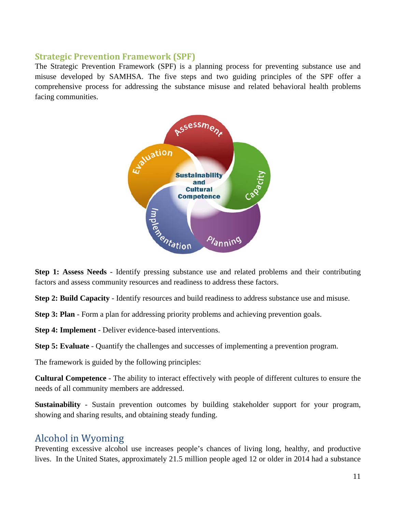#### **Strategic Prevention Framework (SPF)**

The Strategic Prevention Framework (SPF) is a planning process for preventing substance use and misuse developed by SAMHSA. The five steps and two guiding principles of the SPF offer a comprehensive process for addressing the substance misuse and related behavioral health problems facing communities.



**Step 1: Assess Needs** - Identify pressing substance use and related problems and their contributing factors and assess community resources and readiness to address these factors.

**Step 2: Build Capacity** - Identify resources and build readiness to address substance use and misuse.

**Step 3: Plan** - Form a plan for addressing priority problems and achieving prevention goals.

**Step 4: Implement** - Deliver evidence-based interventions.

**Step 5: Evaluate** - Quantify the challenges and successes of implementing a prevention program.

The framework is guided by the following principles:

**Cultural Competence** - The ability to interact effectively with people of different cultures to ensure the needs of all community members are addressed.

**Sustainability** - Sustain prevention outcomes by building stakeholder support for your program, showing and sharing results, and obtaining steady funding.

## Alcohol in Wyoming

Preventing excessive alcohol use increases people's chances of living long, healthy, and productive lives. In the United States, approximately 21.5 million people aged 12 or older in 2014 had a substance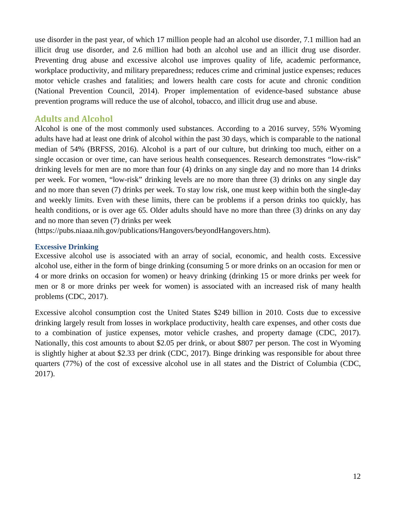use disorder in the past year, of which 17 million people had an alcohol use disorder, 7.1 million had an illicit drug use disorder, and 2.6 million had both an alcohol use and an illicit drug use disorder. Preventing drug abuse and excessive alcohol use improves quality of life, academic performance, workplace productivity, and military preparedness; reduces crime and criminal justice expenses; reduces motor vehicle crashes and fatalities; and lowers health care costs for acute and chronic condition (National Prevention Council, 2014). Proper implementation of evidence-based substance abuse prevention programs will reduce the use of alcohol, tobacco, and illicit drug use and abuse.

#### **Adults and Alcohol**

Alcohol is one of the most commonly used substances. According to a 2016 survey, 55% Wyoming adults have had at least one drink of alcohol within the past 30 days, which is comparable to the national median of 54% (BRFSS, 2016). Alcohol is a part of our culture, but drinking too much, either on a single occasion or over time, can have serious health consequences. Research demonstrates "low-risk" drinking levels for men are no more than four (4) drinks on any single day and no more than 14 drinks per week. For women, "low-risk" drinking levels are no more than three (3) drinks on any single day and no more than seven (7) drinks per week. To stay low risk, one must keep within both the single-day and weekly limits. Even with these limits, there can be problems if a person drinks too quickly, has health conditions, or is over age 65. Older adults should have no more than three (3) drinks on any day and no more than seven (7) drinks per week

(https://pubs.niaaa.nih.gov/publications/Hangovers/beyondHangovers.htm).

#### **Excessive Drinking**

Excessive alcohol use is associated with an array of social, economic, and health costs. Excessive alcohol use, either in the form of binge drinking (consuming 5 or more drinks on an occasion for men or 4 or more drinks on occasion for women) or heavy drinking (drinking 15 or more drinks per week for men or 8 or more drinks per week for women) is associated with an increased risk of many health problems (CDC, 2017).

Excessive alcohol consumption cost the United States \$249 billion in 2010. Costs due to excessive drinking largely result from losses in workplace productivity, health care expenses, and other costs due to a combination of justice expenses, motor vehicle crashes, and property damage (CDC, 2017). Nationally, this cost amounts to about \$2.05 per drink, or about \$807 per person. The cost in Wyoming is slightly higher at about \$2.33 per drink (CDC, 2017). Binge drinking was responsible for about three quarters (77%) of the cost of excessive alcohol use in all states and the District of Columbia (CDC, 2017).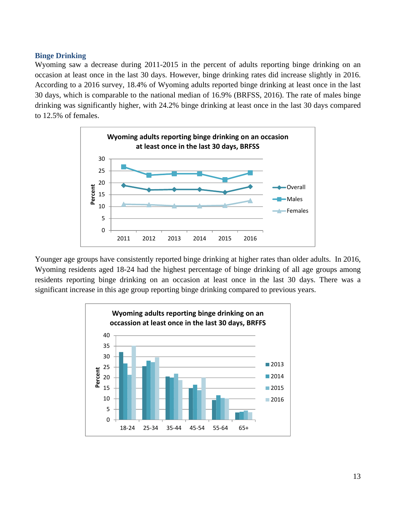#### **Binge Drinking**

Wyoming saw a decrease during 2011-2015 in the percent of adults reporting binge drinking on an occasion at least once in the last 30 days. However, binge drinking rates did increase slightly in 2016. According to a 2016 survey, 18.4% of Wyoming adults reported binge drinking at least once in the last 30 days, which is comparable to the national median of 16.9% (BRFSS, 2016). The rate of males binge drinking was significantly higher, with 24.2% binge drinking at least once in the last 30 days compared to 12.5% of females.



Younger age groups have consistently reported binge drinking at higher rates than older adults. In 2016, Wyoming residents aged 18-24 had the highest percentage of binge drinking of all age groups among residents reporting binge drinking on an occasion at least once in the last 30 days. There was a significant increase in this age group reporting binge drinking compared to previous years.

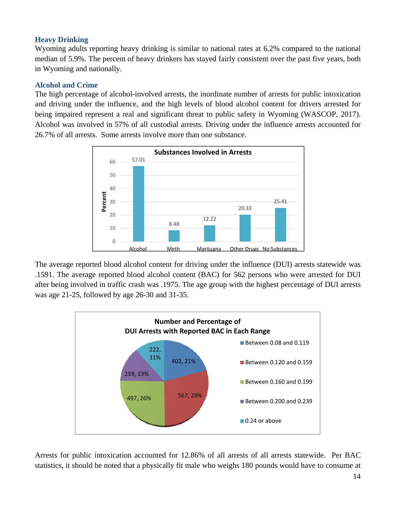#### **Heavy Drinking**

Wyoming adults reporting heavy drinking is similar to national rates at 6.2% compared to the national median of 5.9%. The percent of heavy drinkers has stayed fairly consistent over the past five years, both in Wyoming and nationally.

#### **Alcohol and Crime**

The high percentage of alcohol-involved arrests, the inordinate number of arrests for public intoxication and driving under the influence, and the high levels of blood alcohol content for drivers arrested for being impaired represent a real and significant threat to public safety in Wyoming (WASCOP, 2017). Alcohol was involved in 57% of all custodial arrests. Driving under the influence arrests accounted for 26.7% of all arrests. Some arrests involve more than one substance.



The average reported blood alcohol content for driving under the influence (DUI) arrests statewide was .1591. The average reported blood alcohol content (BAC) for 562 persons who were arrested for DUI after being involved in traffic crash was .1975. The age group with the highest percentage of DUI arrests was age 21-25, followed by age 26-30 and 31-35.



Arrests for public intoxication accounted for 12.86% of all arrests of all arrests statewide. Per BAC statistics, it should be noted that a physically fit male who weighs 180 pounds would have to consume at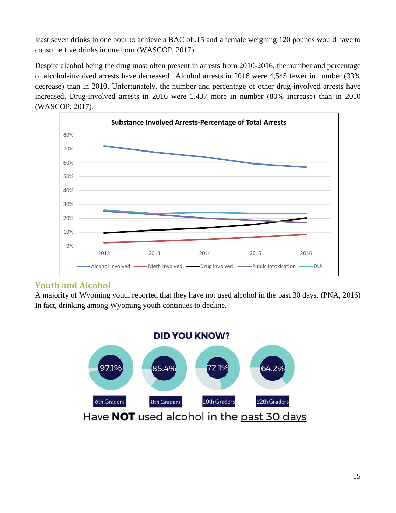least seven drinks in one hour to achieve a BAC of .15 and a female weighing 120 pounds would have to consume five drinks in one hour (WASCOP, 2017).

Despite alcohol being the drug most often present in arrests from 2010-2016, the number and percentage of alcohol-involved arrests have decreased.. Alcohol arrests in 2016 were 4,545 fewer in number (33% decrease) than in 2010. Unfortunately, the number and percentage of other drug-involved arrests have increased. Drug-involved arrests in 2016 were 1,437 more in number (80% increase) than in 2010 (WASCOP, 2017).



## **Youth and Alcohol**

A majority of Wyoming youth reported that they have not used alcohol in the past 30 days. (PNA, 2016) In fact, drinking among Wyoming youth continues to decline.

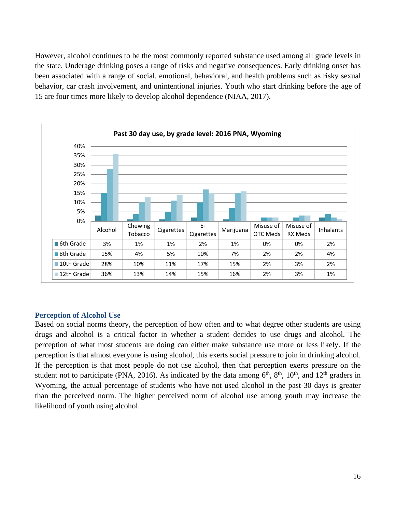However, alcohol continues to be the most commonly reported substance used among all grade levels in the state. Underage drinking poses a range of risks and negative consequences. Early drinking onset has been associated with a range of social, emotional, behavioral, and health problems such as risky sexual behavior, car crash involvement, and unintentional injuries. Youth who start drinking before the age of 15 are four times more likely to develop alcohol dependence (NIAA, 2017).



#### **Perception of Alcohol Use**

Based on social norms theory, the perception of how often and to what degree other students are using drugs and alcohol is a critical factor in whether a student decides to use drugs and alcohol. The perception of what most students are doing can either make substance use more or less likely. If the perception is that almost everyone is using alcohol, this exerts social pressure to join in drinking alcohol. If the perception is that most people do not use alcohol, then that perception exerts pressure on the student not to participate (PNA, 2016). As indicated by the data among  $6<sup>th</sup>$ ,  $8<sup>th</sup>$ ,  $10<sup>th</sup>$ , and  $12<sup>th</sup>$  graders in Wyoming, the actual percentage of students who have not used alcohol in the past 30 days is greater than the perceived norm. The higher perceived norm of alcohol use among youth may increase the likelihood of youth using alcohol.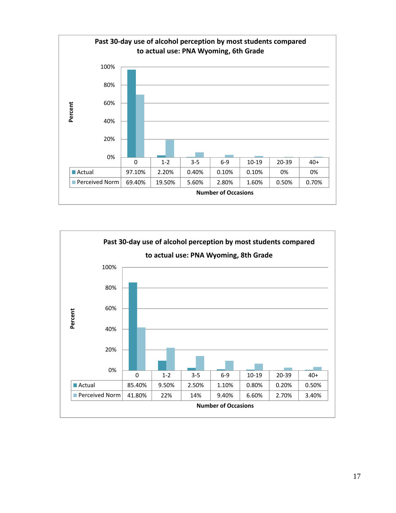

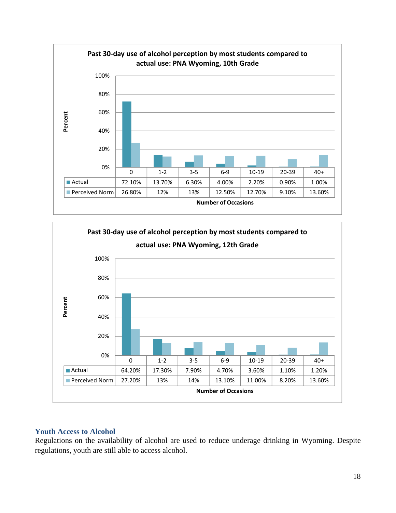



#### **Youth Access to Alcohol**

Regulations on the availability of alcohol are used to reduce underage drinking in Wyoming. Despite regulations, youth are still able to access alcohol.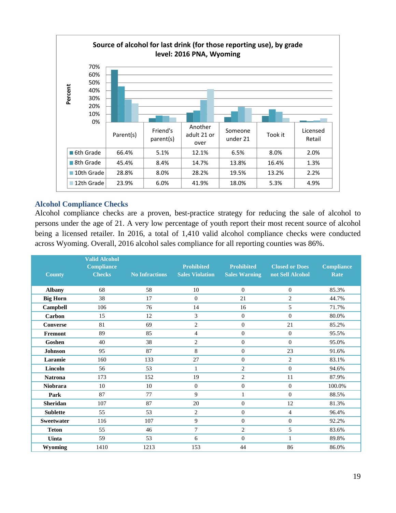

#### **Alcohol Compliance Checks**

Alcohol compliance checks are a proven, best-practice strategy for reducing the sale of alcohol to persons under the age of 21. A very low percentage of youth report their most recent source of alcohol being a licensed retailer. In 2016, a total of 1,410 valid alcohol compliance checks were conducted across Wyoming. Overall, 2016 alcohol sales compliance for all reporting counties was 86%.

| <b>County</b>     | <b>Valid Alcohol</b><br><b>Compliance</b><br><b>Checks</b> | <b>No Infractions</b> | <b>Prohibited</b><br><b>Sales Violation</b> | <b>Prohibited</b><br><b>Sales Warning</b> | <b>Closed or Does</b><br>not Sell Alcohol | <b>Compliance</b><br>Rate |
|-------------------|------------------------------------------------------------|-----------------------|---------------------------------------------|-------------------------------------------|-------------------------------------------|---------------------------|
| <b>Albany</b>     | 68                                                         | 58                    | 10                                          | $\mathbf{0}$                              | $\overline{0}$                            | 85.3%                     |
| <b>Big Horn</b>   | 38                                                         | 17                    | $\overline{0}$                              | 21                                        | $\overline{2}$                            | 44.7%                     |
| Campbell          | 106                                                        | 76                    | 14                                          | 16                                        | 5                                         | 71.7%                     |
| Carbon            | 15                                                         | 12                    | 3                                           | $\theta$                                  | $\overline{0}$                            | 80.0%                     |
| <b>Converse</b>   | 81                                                         | 69                    | $\mathfrak{2}$                              | $\boldsymbol{0}$                          | 21                                        | 85.2%                     |
| Fremont           | 89                                                         | 85                    | $\overline{4}$                              | $\boldsymbol{0}$                          | $\overline{0}$                            | 95.5%                     |
| Goshen            | 40                                                         | 38                    | $\overline{c}$                              | $\boldsymbol{0}$                          | $\overline{0}$                            | 95.0%                     |
| <b>Johnson</b>    | 95                                                         | 87                    | 8                                           | $\boldsymbol{0}$                          | 23                                        | 91.6%                     |
| Laramie           | 160                                                        | 133                   | 27                                          | $\overline{0}$                            | $\overline{2}$                            | 83.1%                     |
| Lincoln           | 56                                                         | 53                    | $\mathbf{1}$                                | $\mathbf{2}$                              | $\theta$                                  | 94.6%                     |
| <b>Natrona</b>    | 173                                                        | 152                   | 19                                          | $\mathbf{2}$                              | 11                                        | 87.9%                     |
| Niobrara          | 10                                                         | 10                    | $\theta$                                    | $\boldsymbol{0}$                          | $\overline{0}$                            | 100.0%                    |
| Park              | 87                                                         | 77                    | 9                                           | $\mathbf{1}$                              | $\overline{0}$                            | 88.5%                     |
| <b>Sheridan</b>   | 107                                                        | 87                    | 20                                          | $\boldsymbol{0}$                          | 12                                        | 81.3%                     |
| <b>Sublette</b>   | 55                                                         | 53                    | $\overline{2}$                              | $\boldsymbol{0}$                          | $\overline{4}$                            | 96.4%                     |
| <b>Sweetwater</b> | 116                                                        | 107                   | 9                                           | $\boldsymbol{0}$                          | $\overline{0}$                            | 92.2%                     |
| <b>Teton</b>      | 55                                                         | 46                    | $\tau$                                      | $\mathbf{2}$                              | 5                                         | 83.6%                     |
| <b>Uinta</b>      | 59                                                         | 53                    | 6                                           | $\overline{0}$                            | $\mathbf{1}$                              | 89.8%                     |
| <b>Wyoming</b>    | 1410                                                       | 1213                  | 153                                         | 44                                        | 86                                        | 86.0%                     |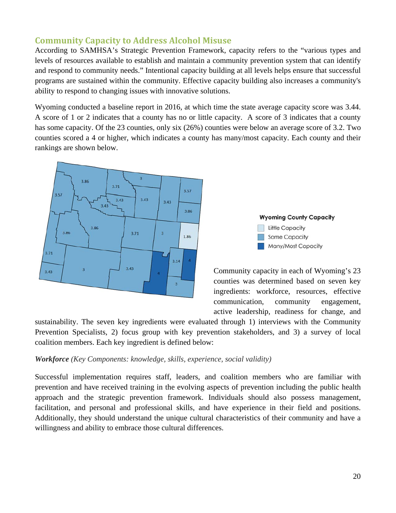## **Community Capacity to Address Alcohol Misuse**

According to SAMHSA's Strategic Prevention Framework, capacity refers to the "various types and levels of resources available to establish and maintain a community prevention system that can identify and respond to community needs." Intentional capacity building at all levels helps ensure that successful programs are sustained within the community. Effective capacity building also increases a community's ability to respond to changing issues with innovative solutions.

Wyoming conducted a baseline report in 2016, at which time the state average capacity score was 3.44. A score of 1 or 2 indicates that a county has no or little capacity. A score of 3 indicates that a county has some capacity. Of the 23 counties, only six (26%) counties were below an average score of 3.2. Two counties scored a 4 or higher, which indicates a county has many/most capacity. Each county and their rankings are shown below.





Community capacity in each of Wyoming's 23 counties was determined based on seven key ingredients: workforce, resources, effective communication, community engagement, active leadership, readiness for change, and

sustainability. The seven key ingredients were evaluated through 1) interviews with the Community Prevention Specialists, 2) focus group with key prevention stakeholders, and 3) a survey of local coalition members. Each key ingredient is defined below:

#### *Workforce (Key Components: knowledge, skills, experience, social validity)*

Successful implementation requires staff, leaders, and coalition members who are familiar with prevention and have received training in the evolving aspects of prevention including the public health approach and the strategic prevention framework. Individuals should also possess management, facilitation, and personal and professional skills, and have experience in their field and positions. Additionally, they should understand the unique cultural characteristics of their community and have a willingness and ability to embrace those cultural differences.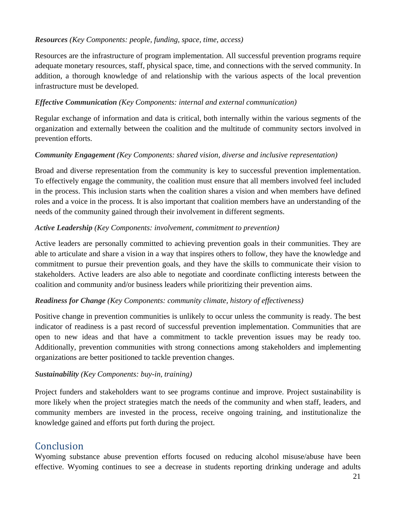#### *Resources (Key Components: people, funding, space, time, access)*

Resources are the infrastructure of program implementation. All successful prevention programs require adequate monetary resources, staff, physical space, time, and connections with the served community. In addition, a thorough knowledge of and relationship with the various aspects of the local prevention infrastructure must be developed.

#### *Effective Communication (Key Components: internal and external communication)*

Regular exchange of information and data is critical, both internally within the various segments of the organization and externally between the coalition and the multitude of community sectors involved in prevention efforts.

#### *Community Engagement (Key Components: shared vision, diverse and inclusive representation)*

Broad and diverse representation from the community is key to successful prevention implementation. To effectively engage the community, the coalition must ensure that all members involved feel included in the process. This inclusion starts when the coalition shares a vision and when members have defined roles and a voice in the process. It is also important that coalition members have an understanding of the needs of the community gained through their involvement in different segments.

#### *Active Leadership (Key Components: involvement, commitment to prevention)*

Active leaders are personally committed to achieving prevention goals in their communities. They are able to articulate and share a vision in a way that inspires others to follow, they have the knowledge and commitment to pursue their prevention goals, and they have the skills to communicate their vision to stakeholders. Active leaders are also able to negotiate and coordinate conflicting interests between the coalition and community and/or business leaders while prioritizing their prevention aims.

#### *Readiness for Change (Key Components: community climate, history of effectiveness)*

Positive change in prevention communities is unlikely to occur unless the community is ready. The best indicator of readiness is a past record of successful prevention implementation. Communities that are open to new ideas and that have a commitment to tackle prevention issues may be ready too. Additionally, prevention communities with strong connections among stakeholders and implementing organizations are better positioned to tackle prevention changes.

#### *Sustainability (Key Components: buy-in, training)*

Project funders and stakeholders want to see programs continue and improve. Project sustainability is more likely when the project strategies match the needs of the community and when staff, leaders, and community members are invested in the process, receive ongoing training, and institutionalize the knowledge gained and efforts put forth during the project.

# Conclusion

Wyoming substance abuse prevention efforts focused on reducing alcohol misuse/abuse have been effective. Wyoming continues to see a decrease in students reporting drinking underage and adults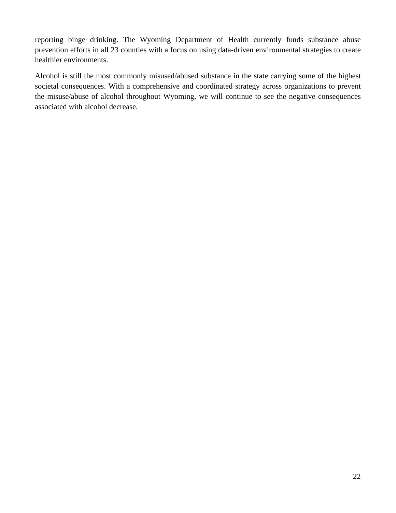reporting binge drinking. The Wyoming Department of Health currently funds substance abuse prevention efforts in all 23 counties with a focus on using data-driven environmental strategies to create healthier environments.

Alcohol is still the most commonly misused/abused substance in the state carrying some of the highest societal consequences. With a comprehensive and coordinated strategy across organizations to prevent the misuse/abuse of alcohol throughout Wyoming, we will continue to see the negative consequences associated with alcohol decrease.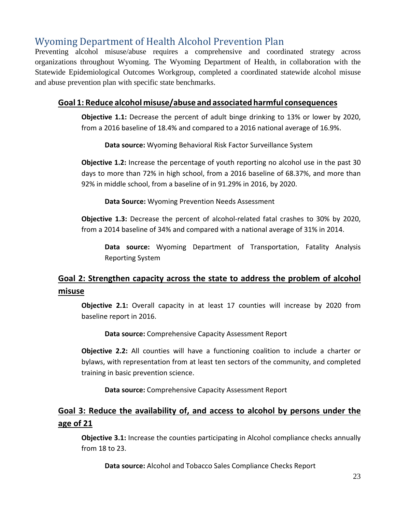# Wyoming Department of Health Alcohol Prevention Plan

Preventing alcohol misuse/abuse requires a comprehensive and coordinated strategy across organizations throughout Wyoming. The Wyoming Department of Health, in collaboration with the Statewide Epidemiological Outcomes Workgroup, completed a coordinated statewide alcohol misuse and abuse prevention plan with specific state benchmarks.

### **Goal 1: Reduce alcohol misuse/abuse and associatedharmful consequences**

**Objective 1.1:** Decrease the percent of adult binge drinking to 13% or lower by 2020, from a 2016 baseline of 18.4% and compared to a 2016 national average of 16.9%.

**Data source:** Wyoming Behavioral Risk Factor Surveillance System

**Objective 1.2:** Increase the percentage of youth reporting no alcohol use in the past 30 days to more than 72% in high school, from a 2016 baseline of 68.37%, and more than 92% in middle school, from a baseline of in 91.29% in 2016, by 2020.

**Data Source:** Wyoming Prevention Needs Assessment

**Objective 1.3:** Decrease the percent of alcohol-related fatal crashes to 30% by 2020, from a 2014 baseline of 34% and compared with a national average of 31% in 2014.

**Data source:** Wyoming Department of Transportation, Fatality Analysis Reporting System

## **Goal 2: Strengthen capacity across the state to address the problem of alcohol misuse**

**Objective 2.1:** Overall capacity in at least 17 counties will increase by 2020 from baseline report in 2016.

**Data source:** Comprehensive Capacity Assessment Report

**Objective 2.2:** All counties will have a functioning coalition to include a charter or bylaws, with representation from at least ten sectors of the community, and completed training in basic prevention science.

**Data source:** Comprehensive Capacity Assessment Report

## **Goal 3: Reduce the availability of, and access to alcohol by persons under the age of 21**

**Objective 3.1:** Increase the counties participating in Alcohol compliance checks annually from 18 to 23.

**Data source:** Alcohol and Tobacco Sales Compliance Checks Report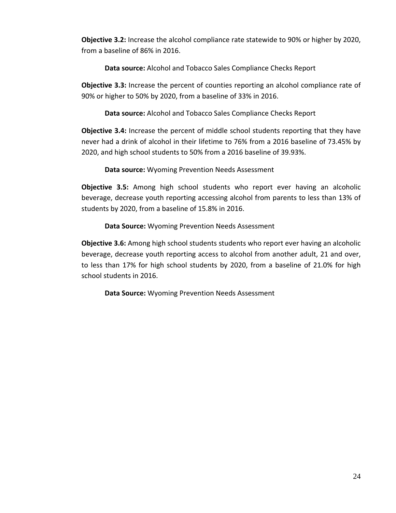**Objective 3.2:** Increase the alcohol compliance rate statewide to 90% or higher by 2020, from a baseline of 86% in 2016.

**Data source:** Alcohol and Tobacco Sales Compliance Checks Report

**Objective 3.3:** Increase the percent of counties reporting an alcohol compliance rate of 90% or higher to 50% by 2020, from a baseline of 33% in 2016.

**Data source:** Alcohol and Tobacco Sales Compliance Checks Report

**Objective 3.4:** Increase the percent of middle school students reporting that they have never had a drink of alcohol in their lifetime to 76% from a 2016 baseline of 73.45% by 2020, and high school students to 50% from a 2016 baseline of 39.93%.

**Data source:** Wyoming Prevention Needs Assessment

**Objective 3.5:** Among high school students who report ever having an alcoholic beverage, decrease youth reporting accessing alcohol from parents to less than 13% of students by 2020, from a baseline of 15.8% in 2016.

**Data Source:** Wyoming Prevention Needs Assessment

**Objective 3.6:** Among high school students students who report ever having an alcoholic beverage, decrease youth reporting access to alcohol from another adult, 21 and over, to less than 17% for high school students by 2020, from a baseline of 21.0% for high school students in 2016.

**Data Source:** Wyoming Prevention Needs Assessment